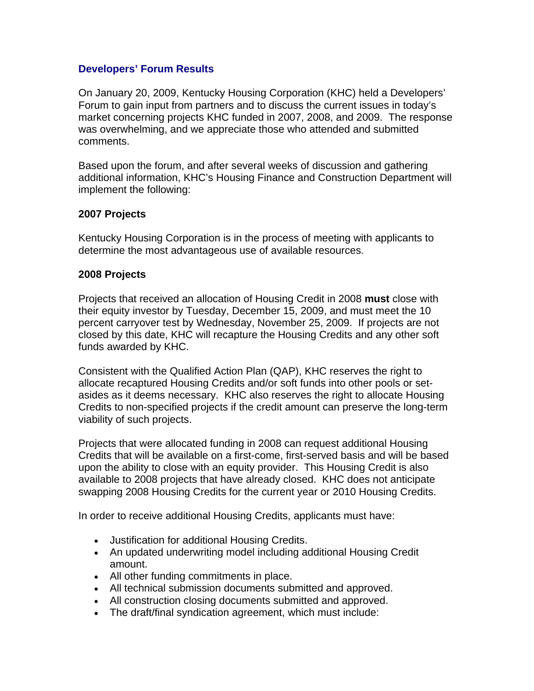## **Developers' Forum Results**

On January 20, 2009, Kentucky Housing Corporation (KHC) held a Developers' Forum to gain input from partners and to discuss the current issues in today's market concerning projects KHC funded in 2007, 2008, and 2009. The response was overwhelming, and we appreciate those who attended and submitted comments.

Based upon the forum, and after several weeks of discussion and gathering additional information, KHC's Housing Finance and Construction Department will implement the following:

## **2007 Projects**

Kentucky Housing Corporation is in the process of meeting with applicants to determine the most advantageous use of available resources.

## **2008 Projects**

Projects that received an allocation of Housing Credit in 2008 **must** close with their equity investor by Tuesday, December 15, 2009, and must meet the 10 percent carryover test by Wednesday, November 25, 2009. If projects are not closed by this date, KHC will recapture the Housing Credits and any other soft funds awarded by KHC.

Consistent with the Qualified Action Plan (QAP), KHC reserves the right to allocate recaptured Housing Credits and/or soft funds into other pools or setasides as it deems necessary. KHC also reserves the right to allocate Housing Credits to non-specified projects if the credit amount can preserve the long-term viability of such projects.

Projects that were allocated funding in 2008 can request additional Housing Credits that will be available on a first-come, first-served basis and will be based upon the ability to close with an equity provider. This Housing Credit is also available to 2008 projects that have already closed. KHC does not anticipate swapping 2008 Housing Credits for the current year or 2010 Housing Credits.

In order to receive additional Housing Credits, applicants must have:

- Justification for additional Housing Credits.
- An updated underwriting model including additional Housing Credit amount.
- All other funding commitments in place.
- All technical submission documents submitted and approved.
- All construction closing documents submitted and approved.
- The draft/final syndication agreement, which must include: